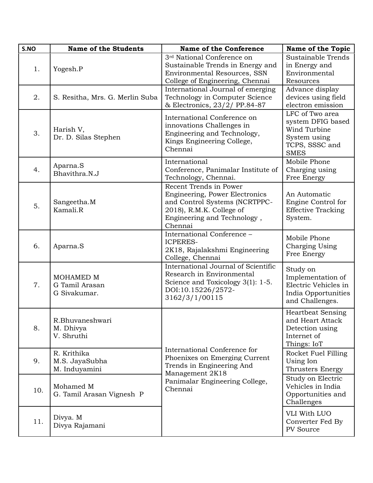| S.NO | <b>Name of the Students</b>                    | <b>Name of the Conference</b>                                                                                                                                   | <b>Name of the Topic</b>                                                                              |
|------|------------------------------------------------|-----------------------------------------------------------------------------------------------------------------------------------------------------------------|-------------------------------------------------------------------------------------------------------|
| 1.   | Yogesh.P                                       | 3 <sup>rd</sup> National Conference on<br>Sustainable Trends in Energy and<br><b>Environmental Resources, SSN</b><br>College of Engineering, Chennai            | Sustainable Trends<br>in Energy and<br>Environmental<br>Resources                                     |
| 2.   | S. Resitha, Mrs. G. Merlin Suba                | International Journal of emerging<br>Technology in Computer Science<br>& Electronics, 23/2/ PP.84-87                                                            | Advance display<br>devices using field<br>electron emission                                           |
| 3.   | Harish V,<br>Dr. D. Silas Stephen              | International Conference on<br>innovations Challenges in<br>Engineering and Technology,<br>Kings Engineering College,<br>Chennai                                | LFC of Two area<br>system DFIG based<br>Wind Turbine<br>System using<br>TCPS, SSSC and<br><b>SMES</b> |
| 4.   | Aparna.S<br>Bhavithra.N.J                      | International<br>Conference, Panimalar Institute of<br>Technology, Chennai.                                                                                     | Mobile Phone<br>Charging using<br>Free Energy                                                         |
| 5.   | Sangeetha.M<br>Kamali.R                        | Recent Trends in Power<br>Engineering, Power Electronics<br>and Control Systems (NCRTPPC-<br>2018), R.M.K. College of<br>Engineering and Technology,<br>Chennai | An Automatic<br>Engine Control for<br><b>Effective Tracking</b><br>System.                            |
| 6.   | Aparna.S                                       | International Conference -<br><b>ICPERES-</b><br>2K18, Rajalakshmi Engineering<br>College, Chennai                                                              | Mobile Phone<br>Charging Using<br>Free Energy                                                         |
| 7.   | MOHAMED M<br>G Tamil Arasan<br>G Sivakumar.    | International Journal of Scientific<br>Research in Environmental<br>Science and Toxicology 3(1): 1-5.<br>DOI:10.15226/2572-<br>3162/3/1/00115                   | Study on<br>Implementation of<br>Electric Vehicles in<br>India Opportunities<br>and Challenges.       |
| 8.   | R.Bhuvaneshwari<br>M. Dhivya<br>V. Shruthi     |                                                                                                                                                                 | <b>Heartbeat Sensing</b><br>and Heart Attack<br>Detection using<br>Internet of<br>Things: IoT         |
| 9.   | R. Krithika<br>M.S. JayaSubha<br>M. Induyamini | International Conference for<br>Phoenixes on Emerging Current<br>Trends in Engineering And<br>Management 2K18                                                   | Rocket Fuel Filling<br>Using Ion<br>Thrusters Energy                                                  |
| 10.  | Mohamed M<br>G. Tamil Arasan Vignesh P         | Panimalar Engineering College,<br>Chennai                                                                                                                       | Study on Electric<br>Vehicles in India<br>Opportunities and<br>Challenges                             |
| 11.  | Divya. M<br>Divya Rajamani                     |                                                                                                                                                                 | VLI With LUO<br>Converter Fed By<br>PV Source                                                         |